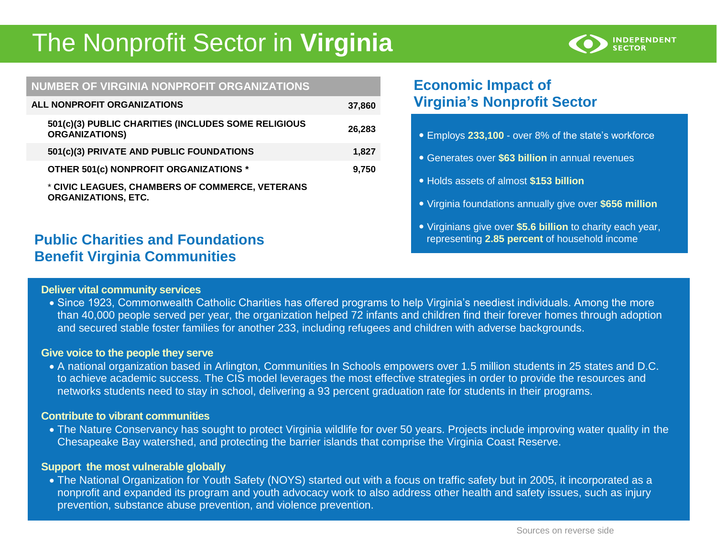# The Nonprofit Sector in **Virginia**



#### **NUMBER OF VIRGINIA NONPROFIT ORGANIZATIONS**

| ALL NONPROFIT ORGANIZATIONS                                                   | 37,860 |
|-------------------------------------------------------------------------------|--------|
| 501(c)(3) PUBLIC CHARITIES (INCLUDES SOME RELIGIOUS<br><b>ORGANIZATIONS)</b>  | 26,283 |
| 501(c)(3) PRIVATE AND PUBLIC FOUNDATIONS                                      | 1.827  |
| OTHER 501(c) NONPROFIT ORGANIZATIONS *                                        | 9,750  |
| * CIVIC LEAGUES, CHAMBERS OF COMMERCE, VETERANS<br><b>ORGANIZATIONS, ETC.</b> |        |

# **Public Charities and Foundations Benefit Virginia Communities**

# **Deliver vital community services**

# **Economic Impact of Virginia's Nonprofit Sector**

- Employs **233,100** over 8% of the state's workforce
- Generates over **\$63 billion** in annual revenues
- Holds assets of almost **\$153 billion**
- Virginia foundations annually give over **\$656 million**
- Virginians give over **\$5.6 billion** to charity each year, representing **2.85 percent** of household income
- Since 1923, Commonwealth Catholic Charities has offered programs to help Virginia's neediest individuals. Among the more than 40,000 people served per year, the organization helped 72 infants and children find their forever homes through adoption and secured stable foster families for another 233, including refugees and children with adverse backgrounds.

#### **Give voice to the people they serve**

 A national organization based in Arlington, Communities In Schools empowers over 1.5 million students in 25 states and D.C. to achieve academic success. The CIS model leverages the most effective strategies in order to provide the resources and networks students need to stay in school, delivering a 93 percent graduation rate for students in their programs.

#### **Contribute to vibrant communities**

 The Nature Conservancy has sought to protect Virginia wildlife for over 50 years. Projects include improving water quality in the Chesapeake Bay watershed, and protecting the barrier islands that comprise the Virginia Coast Reserve.

## **Support the most vulnerable globally**

• The National Organization for Youth Safety (NOYS) started out with a focus on traffic safety but in 2005, it incorporated as a nonprofit and expanded its program and youth advocacy work to also address other health and safety issues, such as injury prevention, substance abuse prevention, and violence prevention.